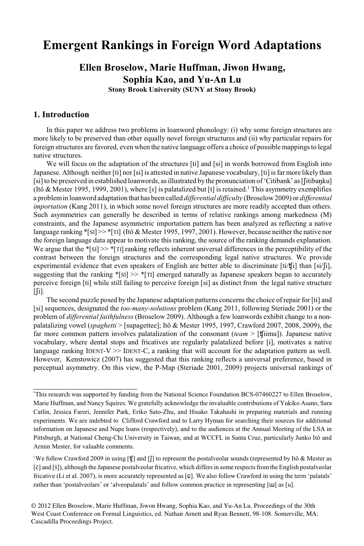## **Emergent Rankings in Foreign Word Adaptations**

## **Ellen Broselow, Marie Huffman, Jiwon Hwang, Sophia Kao, and Yu-An Lu**

**Stony Brook University (SUNY at Stony Brook)**

#### **1. Introduction**

In this paper we address two problems in loanword phonology: (i) why some foreign structures are more likely to be preserved than other equally novel foreign structures and (ii) why particular repairs for foreign structures are favored, even when the native language offers a choice of possible mappings to legal native structures.

We will focus on the adaptation of the structures [ti] and [si] in words borrowed from English into Japanese. Although neither [ti] nor [si] is attested in native Japanese vocabulary, [ti] is far more likely than [si] to be preserved in established loanwords, as illustrated by the pronunciation of 'Citibank' as [[itibanku] (Itô & Mester 1995, 1999, 2001), where [s] is palatalized but [t] is retained.<sup>1</sup> This asymmetry exemplifies a problemin loanword adaptation that has been called *differential difficulty* (Broselow2009) or *differential importation* (Kang 2011), in which some novel foreign structures are more readily accepted than others. Such asymmetries can generally be described in terms of relative rankings among markedness (M) constraints, and the Japanese asymmetric importation pattern has been analyzed as reflecting a native language ranking \*[SI]>> \*[TI] (Itô & Mester 1995, 1997, 2001). However, because neither the native nor the foreign language data appear to motivate thisranking, the source of the ranking demands explanation. We argue that the  $\frac{[S]}{[S]} \gg \frac{[S]}{[T]}$  ranking reflects inherent universal differences in the perceptibility of the contrast between the foreign structures and the corresponding legal native structures. We provide experimental evidence that even speakers of English are better able to discriminate  $\text{[ti/}t\text{[i]}$  than  $\text{[si/}t\text{]}$ , suggesting that the ranking  $\text{SIS} \geq \text{SIT}$  emerged naturally as Japanese speakers began to accurately perceive foreign [ti] while still failing to perceive foreign [si] as distinct from the legal native structure  $\lceil$ [i].

The second puzzle posed by the Japanese adaptation patterns concerns the choice of repair for [ti] and [si] sequences, designated the *too-many-solutions* problem (Kang 2011, following Steriade 2001) or the problem of *differential faithfulness* (Broselow 2009). Although a few loanwords exhibit change to a nonpalatalizing vowel (*spaghetti* > [supagettee]; Itô & Mester 1995, 1997, Crawford 2007, 2008, 2009), the far more common pattern involves palatalization of the consonant (*team* > [t[iimu]). Japanese native vocabulary, where dental stops and fricatives are regularly palatalized before [i], motivates a native language ranking IDENT-V  $\gg$  IDENT-C, a ranking that will account for the adaptation pattern as well. However, Kenstowicz (2007) has suggested that this ranking reflects a universal preference, based in perceptual asymmetry. On this view, the P-Map (Steriade 2001, 2009) projects universal rankings of

This research was supported by funding from the National Science Foundation BCS-07460227 to Ellen Broselow, \* Marie Huffman, and Nancy Squires. We gratefully acknowledge the invaluable contributions of Yukiko Asano, Sara Catlin, Jessica Fareri, Jennifer Park, Eriko Sato-Zhu, and Hisako Takahashi in preparing materials and running experiments. We are indebted to Clifford Crawford and to Larry Hyman for searching their sources for additional information on Japanese and Nupe loans (respectively), and to the audiences at the Annual Meeting of the LSA in Pittsburgh, at National Cheng-Chi University in Taiwan, and at WCCFL in Santa Cruz, particularly Junko Itô and Armin Mester, for valuable comments.

<sup>&</sup>lt;sup>1</sup>We follow Crawford 2009 in using [ $\sharp$ ] and [ $\sharp$ ] to represent the postalveolar sounds (represented by Itô & Mester as [è] and [š]), although the Japanese postalveolar fricative, which differs in some respects from the English postalveolar fricative (Li et al. 2007), is more accurately represented as [ $\boldsymbol{\varsigma}$ ]. We also follow Crawford in using the term 'palatals' rather than 'postalveolars' or 'alveopalatals' and follow common practice in representing [W] as [u].

<sup>© 2012</sup> Ellen Broselow, Marie Huffman, Jiwon Hwang, Sophia Kao, and Yu-An Lu. Proceedings of the 30th West Coast Conference on Formal Linguistics, ed. Nathan Arnett and Ryan Bennett, 98-108. Somerville, MA: Cascadilla Proceedings Project.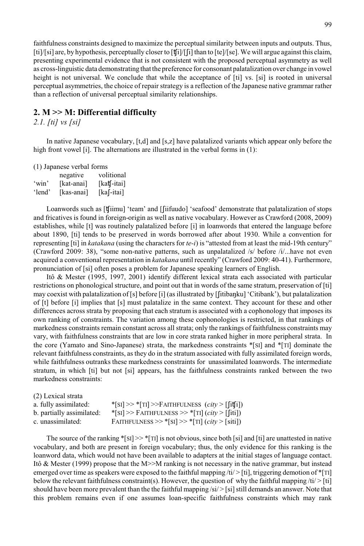faithfulness constraints designed to maximize the perceptual similarity between inputs and outputs. Thus, [ti]/[si] are, by hypothesis, perceptually closer to [t[j]/[i] than to [te]/[se]. We will argue against this claim, presenting experimental evidence that is not consistent with the proposed perceptual asymmetry as well as cross-linguistic data demonstrating that the preference for consonant palatalization over change in vowel height is not universal. We conclude that while the acceptance of [ti] vs. [si] is rooted in universal perceptual asymmetries, the choice of repair strategy is a reflection of the Japanese native grammar rather than a reflection of universal perceptual similarity relationships.

### **2. M >> M: Differential difficulty**

*2.1. [ti] vs [si]*

In native Japanese vocabulary, [t,d] and [s,z] have palatalized variants which appear only before the high front vowel [i]. The alternations are illustrated in the verbal forms in (1):

(1) Japanese verbal forms

|        | negative   | volitional                        |
|--------|------------|-----------------------------------|
| 'win'  | [kat-anai] | $[kat]$ -itai]                    |
| 'lend' | [kas-anai] | $\lceil ka \rceil$ -itai $\rceil$ |

Loanwords such as [t[iimu] 'team' and [[iifuudo] 'seafood' demonstrate that palatalization of stops and fricatives is found in foreign-origin as well as native vocabulary. However as Crawford (2008, 2009) establishes, while [t] was routinely palatalized before [i] in loanwords that entered the language before about 1890, [ti] tends to be preserved in words borrowed after about 1930. While a convention for representing [ti] in *katakana* (using the characters for *te-i*) is "attested from at least the mid-19th century" (Crawford 2009: 38), "some non-native patterns, such as unpalatalized /s/ before /i/...have not even acquired a conventional representation in *katakana* until recently" (Crawford 2009: 40-41). Furthermore, pronunciation of [si] often poses a problem for Japanese speaking learners of English.

Itô & Mester (1995, 1997, 2001) identify different lexical strata each associated with particular restrictions on phonological structure, and point out that in words of the same stratum, preservation of [ti] may coexist with palatalization of [s] before [i] (as illustrated by [[itibank] 'Citibank'), but palatalization of [t] before [i] implies that [s] must palatalize in the same context. They account for these and other differences across strata by proposing that each stratum is associated with a cophonology that imposes its own ranking of constraints. The variation among these cophonologies is restricted, in that rankings of markedness constraints remain constant across all strata; only the rankings of faithfulness constraints may vary, with faithfulness constraints that are low in core strata ranked higher in more peripheral strata. In the core (Yamato and Sino-Japanese) strata, the markedness constraints \*[SI] and \*[TI] dominate the relevant faithfulness constraints, as they do in the stratum associated with fully assimilated foreign words, while faithfulness outranks these markedness constraints for unassimilated loanwords. The intermediate stratum, in which [ti] but not [si] appears, has the faithfulness constraints ranked between the two markedness constraints:

| (2) Lexical strata        |                                                                       |
|---------------------------|-----------------------------------------------------------------------|
| a. fully assimilated:     | $ S_I  \gg  T_I  \gg F$ AITHFULNESS ( <i>city</i> > [[it <b>f</b> i]) |
| b. partially assimilated: | $ \cdot $ >> FAITHFULNESS >> $ \cdot $ ( <i>city</i> > [[iti])        |
| c. unassimilated:         | FAITHFULNESS >> *[SI] >> *[TI] $(city > [siti])$                      |

The source of the ranking  $\sqrt[*]{s}$ [SI]  $>> \sqrt[*]{r}$  is not obvious, since both [si] and [ti] are unattested in native vocabulary, and both are present in foreign vocabulary; thus, the only evidence for this ranking is the loanword data, which would not have been available to adapters at the initial stages of language contact. Itô & Mester (1999) propose that the M>>M ranking is not necessary in the native grammar, but instead emerged over time as speakers were exposed to the faithful mapping  $\langle ti \rangle > [ti]$ , triggering demotion of  $\{TI\}$ below the relevant faithfulness constraint(s). However, the question of why the faithful mapping  $/ti$  > [ti] should have been more prevalent than the the faithful mapping /si/ > [si] still demands an answer. Note that this problem remains even if one assumes loan-specific faithfulness constraints which may rank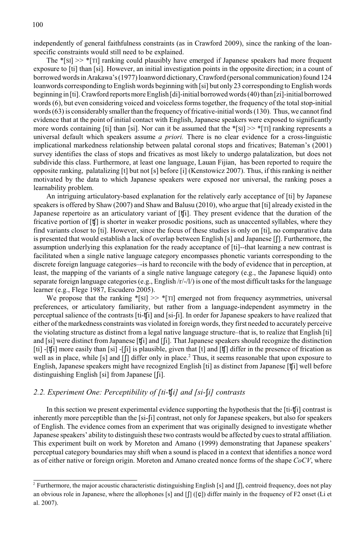independently of general faithfulness constraints (as in Crawford 2009), since the ranking of the loanspecific constraints would still need to be explained.

The \*[SI] >> \*[TI] ranking could plausibly have emerged if Japanese speakers had more frequent exposure to [ti] than [si]. However, an initial investigation points in the opposite direction; in a count of borrowed words in Arakawa's (1977) loanword dictionary, Crawford (personal communication) found 124 loanwords corresponding to English words beginning with [si] but only 23 corresponding to English words beginning in [ti]. Crawford reports more English [di]-initial borrowed words (40) than [zi]-initial borrowed words (6), but even considering voiced and voiceless forms together, the frequency of the total stop-initial words (63) is considerably smaller than the frequency of fricative-initial words (130). Thus, we cannot find evidence that at the point of initial contact with English, Japanese speakers were exposed to significantly more words containing [ti] than [si]. Nor can it be assumed that the  $\frac{8}{5}$ [SI] >>  $\frac{8}{11}$  ranking represents a universal default which speakers assume *a priori.* There is no clear evidence for a cross-linguistic implicational markedness relationship between palatal coronal stops and fricatives; Bateman's (2001) survey identifies the class of stops and fricatives as most likely to undergo palatalization, but does not subdivide this class. Furthermore, at least one language, Lauan Fijian, has been reported to require the opposite ranking, palatalizing [t] but not [s] before [i] (Kenstowicz 2007). Thus, if this ranking is neither motivated by the data to which Japanese speakers were exposed nor universal, the ranking poses a learnability problem.

An intriguing articulatory-based explanation for the relatively early acceptance of [ti] by Japanese speakers is offered by Shaw (2007) and Shaw and Balusu (2010), who argue that [ti] already existed in the Japanese repertoire as an articulatory variant of [t[i]. They present evidence that the duration of the fricative portion of [±] is shorter in weaker prosodic positions, such as unaccented syllables, where they find variants closer to [ti]. However, since the focus of these studies is only on [ti], no comparative data is presented that would establish a lack of overlap between English [s] and Japanese  $\iint$ . Furthermore, the assumption underlying this explanation for the ready acceptance of [ti]--that learning a new contrast is facilitated when a single native language category encompasses phonetic variants corresponding to the discrete foreign language categories–-is hard to reconcile with the body of evidence that in perception, at least, the mapping of the variants of a single native language category (e.g., the Japanese liquid) onto separate foreign language categories (e.g., English  $/r/-/l$ ) is one of the most difficult tasks for the language learner (e.g., Flege 1987, Escudero 2005).

We propose that the ranking  $\text{*}[SI] \gg \text{*}[TI]$  emerged not from frequency asymmetries, universal preferences, or articulatory familiarity, but rather from a language-independent asymmetry in the perceptual salience of the contrasts [ti-±i] and [si-i]. In order for Japanese speakers to have realized that either of the markedness constraints was violated in foreign words, they first needed to accurately perceive the violating structure as distinct from a legal native language structure–that is, to realize that English [ti] and [si] were distinct from Japanese [t[i] and [[i]. That Japanese speakers should recognize the distinction [ti] -[ti] more easily than [si] -[i] is plausible, given that [t] and [t] differ in the presence of frication as well as in place, while [s] and  $\left[\int\right]$  differ only in place.<sup>2</sup> Thus, it seems reasonable that upon exposure to English, Japanese speakers might have recognized English [ti] as distinct from Japanese [t[i] well before distinguishing English [si] from Japanese  $\lceil \lceil i \rceil$ .

#### *2.2. Experiment One: Perceptibility of [ti-±i] and [si-i] contrasts*

In this section we present experimental evidence supporting the hypothesis that the [ti- $\mathbf{t}[i]$ ] contrast is inherently more perceptible than the [si-[i] contrast, not only for Japanese speakers, but also for speakers of English. The evidence comes from an experiment that was originally designed to investigate whether Japanese speakers' ability to distinguish these two contrasts would be affected by cues to stratal affiliation. This experiment built on work by Moreton and Amano (1999) demonstrating that Japanese speakers' perceptual category boundaries may shift when a sound is placed in a context that identifies a nonce word as of either native or foreign origin. Moreton and Amano created nonce forms of the shape *CoCV*, where

<sup>&</sup>lt;sup>2</sup> Furthermore, the major acoustic characteristic distinguishing English [s] and [f], centroid frequency, does not play an obvious role in Japanese, where the allophones [s] and  $\left[\right]$  ([ $\left[\right]$ ) differ mainly in the frequency of F2 onset (Li et al. 2007).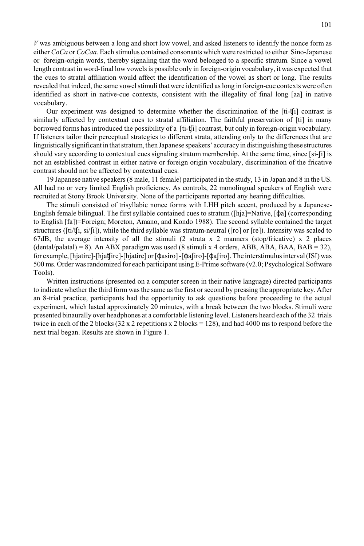*V* was ambiguous between a long and short low vowel, and asked listeners to identify the nonce form as either *CoCa* or *CoCaa*. Each stimulus contained consonants which were restricted to either Sino-Japanese or foreign-origin words, thereby signaling that the word belonged to a specific stratum. Since a vowel length contrast in word-final low vowels is possible only in foreign-origin vocabulary, it was expected that the cues to stratal affiliation would affect the identification of the vowel as short or long. The results revealed that indeed, the same vowel stimuli that were identified as long in foreign-cue contexts were often identified as short in native-cue contexts, consistent with the illegality of final long [aa] in native vocabulary.

Our experiment was designed to determine whether the discrimination of the [ti-t[i] contrast is similarly affected by contextual cues to stratal affiliation. The faithful preservation of [ti] in many borrowed forms has introduced the possibility of a [ti-±i] contrast, but only in foreign-origin vocabulary. If listeners tailor their perceptual strategies to different strata, attending only to the differences that are linguistically significant in that stratum, then Japanese speakers' accuracy in distinguishing these structures should vary according to contextual cues signaling stratum membership. At the same time, since [si-[i] is not an established contrast in either native or foreign origin vocabulary, discrimination of the fricative contrast should not be affected by contextual cues.

19 Japanese native speakers (8 male, 11 female) participated in the study, 13 in Japan and 8 in the US. All had no or very limited English proficiency. As controls, 22 monolingual speakers of English were recruited at Stony Brook University. None of the participants reported any hearing difficulties.

The stimuli consisted of trisyllabic nonce forms with LHH pitch accent, produced by a Japanese-English female bilingual. The first syllable contained cues to stratum ( $[hja]=Native, [\phi a]$  (corresponding to English [fa])=Foreign; Moreton, Amano, and Kondo 1988). The second syllable contained the target structures ( $\left[\frac{ti}{ti}, \frac{s}{i}\right]$ ), while the third syllable was stratum-neutral ( $\left[\frac{ro}{or}\right]$ ) or  $\left[\frac{re}{r}\right]$ ). Intensity was scaled to 67dB, the average intensity of all the stimuli (2 strata x 2 manners (stop/fricative) x 2 places  $(dental/palatal) = 8$ ). An ABX paradigm was used (8 stimuli x 4 orders, ABB, ABA, BAA, BAB = 32), for example, [hjatire]-[hjat**f**ire]-[hjatire] or [ $\phi$ asiro] -[ $\phi$ afiro]-[ $\phi$ afiro]. The interstimulus interval (ISI) was 500 ms. Order was randomized for each participant using E-Prime software (v2.0; Psychological Software Tools).

Written instructions (presented on a computer screen in their native language) directed participants to indicate whether the third form was the same as the first or second by pressing the appropriate key. After an 8-trial practice, participants had the opportunity to ask questions before proceeding to the actual experiment, which lasted approximately 20 minutes, with a break between the two blocks. Stimuli were presented binaurally over headphones at a comfortable listening level. Listeners heard each of the 32 trials twice in each of the 2 blocks (32 x 2 repetitions x 2 blocks = 128), and had 4000 ms to respond before the next trial began. Results are shown in Figure 1.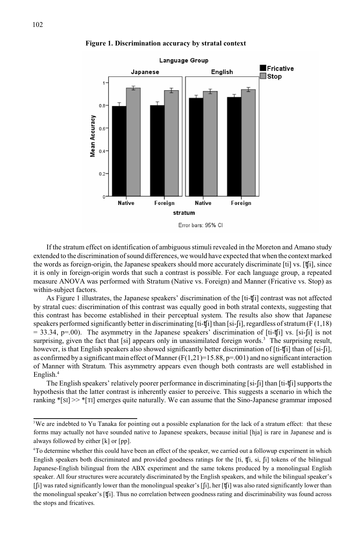#### **Figure 1. Discrimination accuracy by stratal context**



If the stratum effect on identification of ambiguous stimuli revealed in the Moreton and Amano study extended to the discrimination of sound differences, we would have expected that when the context marked the words as foreign-origin, the Japanese speakers should more accurately discriminate [ti] vs. [t[i], since it is only in foreign-origin words that such a contrast is possible. For each language group, a repeated measure ANOVA was performed with Stratum (Native vs. Foreign) and Manner (Fricative vs. Stop) as within-subject factors.

As Figure 1 illustrates, the Japanese speakers' discrimination of the [ti-t[i] contrast was not affected by stratal cues: discrimination of this contrast was equally good in both stratal contexts, suggesting that this contrast has become established in their perceptual system. The results also show that Japanese speakers performed significantly better in discriminating  $[ti-tj]$  than [si-[i], regardless of stratum (F (1,18)  $=$  33.34, p=.00). The asymmetry in the Japanese speakers' discrimination of [ti-t[i] vs. [si-[i] is not surprising, given the fact that [si] appears only in unassimilated foreign words.<sup>3</sup> The surprising result, however, is that English speakers also showed significantly better discrimination of [ti-t[i] than of [si-[i], as confirmed by a significant main effect of Manner  $(F(1,21)=15.88, p=.001)$  and no significant interaction of Manner with Stratum. This asymmetry appears even though both contrasts are well established in English.<sup>4</sup>

The English speakers' relatively poorer performance in discriminating [si-[i] than [ti-t[i] supports the hypothesis that the latter contrast is inherently easier to perceive. This suggests a scenario in which the ranking \*[SI] >> \*[TI] emerges quite naturally. We can assume that the Sino-Japanese grammar imposed

<sup>&</sup>lt;sup>3</sup>We are indebted to Yu Tanaka for pointing out a possible explanation for the lack of a stratum effect: that these forms may actually not have sounded native to Japanese speakers, because initial [hja] is rare in Japanese and is always followed by either [k] or [pp].

<sup>&</sup>lt;sup>4</sup>To determine whether this could have been an effect of the speaker, we carried out a followup experiment in which English speakers both discriminated and provided goodness ratings for the  $[t_i, t_j]$ ,  $[t_i, s_i]$ ,  $[t_i]$  tokens of the bilingual Japanese-English bilingual from the ABX experiment and the same tokens produced by a monolingual English speaker. All four structures were accurately discriminated by the English speakers, and while the bilingual speaker's  $\lceil \frac{n}{2} \rceil$  was rated significantly lower than the monolingual speaker's  $\lceil \frac{n}{2} \rceil$ , her  $\lceil \frac{n}{2} \rceil$  was also rated significantly lower than the monolingual speaker's [t[i]. Thus no correlation between goodness rating and discriminability was found across the stops and fricatives.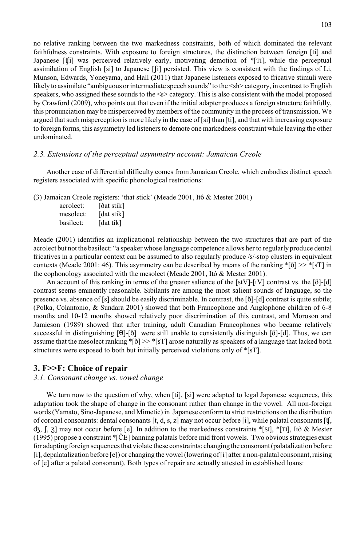no relative ranking between the two markedness constraints, both of which dominated the relevant faithfulness constraints. With exposure to foreign structures, the distinction between foreign [ti] and Japanese [ti] was perceived relatively early, motivating demotion of  $\Gamma$ [TI], while the perceptual assimilation of English [si] to Japanese [i] persisted. This view is consistent with the findings of Li, Munson, Edwards, Yoneyama, and Hall (2011) that Japanese listeners exposed to fricative stimuli were likely to assimilate "ambiguous or intermediate speech sounds" to the <sh> category, in contrast to English speakers, who assigned these sounds to the  $\leq$  category. This is also consistent with the model proposed by Crawford (2009), who points out that even if the initial adapter produces a foreign structure faithfully, this pronunciation may be misperceived by members of the community in the process of transmission. We argued that such misperception is more likely in the case of [si] than [ti], and that with increasing exposure to foreign forms, this asymmetry led listeners to demote one markedness constraint while leaving the other undominated.

#### *2.3. Extensions of the perceptual asymmetry account: Jamaican Creole*

Another case of differential difficulty comes from Jamaican Creole, which embodies distinct speech registers associated with specific phonological restrictions:

(3) Jamaican Creole registers: 'that stick' (Meade 2001, Itô & Mester 2001)

| acrolect: | [ðat stik] |
|-----------|------------|
| mesolect: | [dat stik] |
| basilect: | [dat tik]  |

Meade (2001) identifies an implicational relationship between the two structures that are part of the acrolect but not the basilect: "a speaker whose language competence allows her to regularly produce dental fricatives in a particular context can be assumed to also regularly produce /s/-stop clusters in equivalent contexts (Meade 2001: 46). This asymmetry can be described by means of the ranking  $\{|\delta| \gg \frac{*}{s}|\}$  in the cophonology associated with the mesolect (Meade 2001, Itô & Mester 2001).

An account of this ranking in terms of the greater salience of the [stV]-[tV] contrast vs. the [ð]-[d] contrast seems eminently reasonable. Sibilants are among the most salient sounds of language, so the presence vs. absence of [s] should be easily discriminable. In contrast, the [ð]-[d] contrast is quite subtle; (Polka, Colantonio, & Sundara 2001) showed that both Francophone and Anglophone children of 6-8 months and 10-12 months showed relatively poor discrimination of this contrast, and Moroson and Jamieson (1989) showed that after training, adult Canadian Francophones who became relatively successful in distinguishing  $[\theta]-[\delta]$  were still unable to consistently distinguish  $[\delta]-[d]$ . Thus, we can assume that the mesolect ranking  $|\delta| \gg |S|$  arose naturally as speakers of a language that lacked both structures were exposed to both but initially perceived violations only of \*[sT].

#### **3. F>>F: Choice of repair**

#### *3.1. Consonant change vs. vowel change*

We turn now to the question of why, when [ti], [si] were adapted to legal Japanese sequences, this adaptation took the shape of change in the consonant rather than change in the vowel. All non-foreign words (Yamato, Sino-Japanese, and Mimetic) in Japanese conform to strict restrictions on the distribution of coronal consonants: dental consonants  $[t, d, s, z]$  may not occur before [i], while palatal consonants  $[t, t]$ ,  $\sigma$ ,  $[$ ,  $\sigma$ ] may not occur before [e]. In addition to the markedness constraints \*[SI], \*[TI], Itô & Mester (1995) propose a constraint \*[ÈE] banning palatals before mid front vowels. Two obvious strategies exist for adapting foreign sequences that violate these constraints: changing the consonant (palatalization before [i], depalatalization before [e]) or changing the vowel (lowering of [i] after a non-palatal consonant, raising of [e] after a palatal consonant). Both types of repair are actually attested in established loans: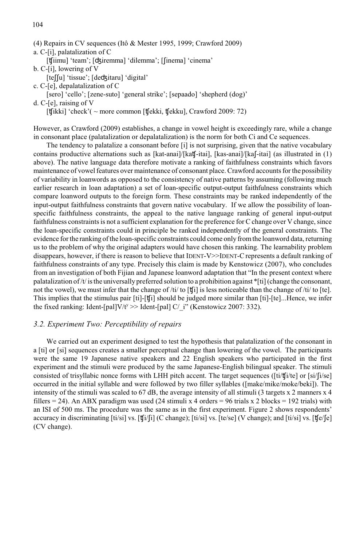a. C-[i], palatalization of C

[t[iimu] 'team'; [dʒiremma] 'dilemma'; [[inema] 'cinema'

- b. C-[i], lowering of V
- [te[[u] 'tissue'; [deck]itaru] 'digital'
- c. C-[e], depalatalization of C

[sero] 'cello'; [zene-suto] 'general strike'; [sepaado] 'shepherd (dog)'

d. C-[e], raising of V

[t[ikki] 'check'( ~ more common [t[ekki, t[ekku], Crawford 2009: 72)

However, as Crawford (2009) establishes, a change in vowel height is exceedingly rare, while a change in consonant place (palatalization or depalatalization) is the norm for both Ci and Ce sequences.

The tendency to palatalize a consonant before [i] is not surprising, given that the native vocabulary contains productive alternations such as  $[kat-anai]/[kat-jati], [kas-anai]/[ka-jati]$  (as illustrated in (1) above). The native language data therefore motivate a ranking of faithfulness constraints which favors maintenance of vowel features over maintenance of consonant place. Crawford accounts for the possibility of variability in loanwords as opposed to the consistency of native patterns by assuming (following much earlier research in loan adaptation) a set of loan-specific output-output faithfulness constraints which compare loanword outputs to the foreign form. These constraints may be ranked independently of the input-output faithfulness constraints that govern native vocabulary. If we allow the possibility of loanspecific faithfulness constraints, the appeal to the native language ranking of general input-output faithfulness constraints is not a sufficient explanation for the preference for C change over V change, since the loan-specific constraints could in principle be ranked independently of the general constraints. The evidence for the ranking of the loan-specific constraints could come only from the loanword data, returning us to the problem of why the original adapters would have chosen this ranking. The learnability problem disappears, however, if there is reason to believe that IDENT-V>>IDENT-Crepresents a default ranking of faithfulness constraints of any type. Precisely this claim is made by Kenstowicz (2007), who concludes from an investigation of both Fijian and Japanese loanword adaptation that "In the present context where palatalization of /t/ is the universally preferred solution to a prohibition against \*[ti] (change the consonant, not the vowel), we must infer that the change of /ti/ to  $[\mathbf{t}[i]$  is less noticeable than the change of /ti/ to [te]. This implies that the stimulus pair [ti]-[±i] should be judged more similar than [ti]-[te]...Hence, we infer the fixed ranking: Ident-[pal]V/t<sup>y</sup> >> Ident-[pal] C/ i" (Kenstowicz 2007: 332).

#### *3.2. Experiment Two: Perceptibility of repairs*

We carried out an experiment designed to test the hypothesis that palatalization of the consonant in a [ti] or [si] sequences creates a smaller perceptual change than lowering of the vowel. The participants were the same 19 Japanese native speakers and 22 English speakers who participated in the first experiment and the stimuli were produced by the same Japanese-English bilingual speaker. The stimuli consisted of trisyllabic nonce forms with LHH pitch accent. The target sequences ( $\left[ti/tj/te\right]$  or  $\left[si/fj/e\right]$ occurred in the initial syllable and were followed by two filler syllables ([make/mike/moke/beki]). The intensity of the stimuli was scaled to 67 dB, the average intensity of all stimuli (3 targets x 2 manners x 4 fillers  $= 24$ ). An ABX paradigm was used (24 stimuli x 4 orders  $= 96$  trials x 2 blocks  $= 192$  trials) with an ISI of 500 ms. The procedure was the same as in the first experiment. Figure 2 shows respondents' accuracy in discriminating [ti/si] vs.  $[\mathbf{t}[i][i]$  (C change); [ti/si] vs. [te/se] (V change); and [ti/si] vs.  $[\mathbf{t}[e][e]]$ (CV change).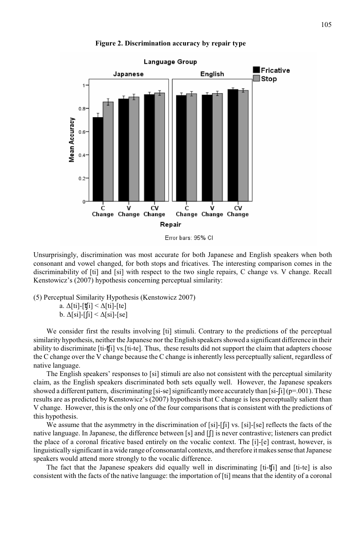#### **Figure 2. Discrimination accuracy by repair type**



Unsurprisingly, discrimination was most accurate for both Japanese and English speakers when both consonant and vowel changed, for both stops and fricatives. The interesting comparison comes in the discriminability of [ti] and [si] with respect to the two single repairs, C change vs. V change. Recall Kenstowicz's (2007) hypothesis concerning perceptual similarity:

(5) Perceptual Similarity Hypothesis (Kenstowicz 2007)

a.  $\Delta[\text{ti}]-[\text{t}j] < \Delta[\text{ti}]-[\text{te}]$ b.  $\Delta$ [si]-[[i] <  $\Delta$ [si]-[se]

We consider first the results involving [ti] stimuli. Contrary to the predictions of the perceptual similarity hypothesis, neither the Japanese nor the English speakers showed a significant difference in their ability to discriminate [ti-±i] vs.[ti-te]. Thus, these results did not support the claim that adapters choose the C change over the V change because the C change is inherently less perceptually salient, regardless of native language.

The English speakers' responses to [si] stimuli are also not consistent with the perceptual similarity claim, as the English speakers discriminated both sets equally well. However, the Japanese speakers showed a different pattern, discriminating [si-se] significantly more accurately than [si-[i] ( $p=.001$ ). These results are as predicted by Kenstowicz's (2007) hypothesis that C change is less perceptually salient than V change. However, this is the only one of the four comparisons that is consistent with the predictions of this hypothesis.

We assume that the asymmetry in the discrimination of [si]-[j] vs. [si]-[se] reflects the facts of the native language. In Japanese, the difference between [s] and [f] is never contrastive; listeners can predict the place of a coronal fricative based entirely on the vocalic context. The [i]-[e] contrast, however, is linguistically significant in a wide range of consonantal contexts, and therefore it makes sense that Japanese speakers would attend more strongly to the vocalic difference.

The fact that the Japanese speakers did equally well in discriminating  $[t_i-t_j]$  and  $[t_i-t_e]$  is also consistent with the facts of the native language: the importation of [ti] means that the identity of a coronal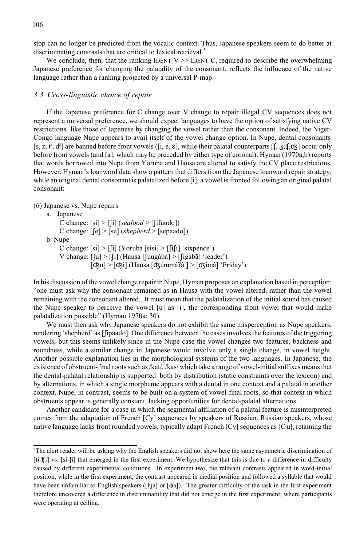stop can no longer be predicted from the vocalic context. Thus, Japanese speakers seem to do better at discriminating contrasts that are critical to lexical retrieval.<sup>5</sup>

We conclude, then, that the ranking IDENT-V  $\gg$  IDENT-C, required to describe the overwhelming Japanese preference for changing the palatality of the consonant, reflects the influence of the native language rather than a ranking projected by a universal P-map.

#### *3.3. Cross-linguistic choice of repair*

If the Japanese preference for C change over V change to repair illegal CV sequences does not represent a universal preference, we should expect languages to have the option of satisfying native CV restrictions like those of Japanese by changing the vowel rather than the consonant. Indeed, the Niger-Congo language Nupe appears to avail itself of the vowel change option. In Nupe, dental consonants [s, z, t<sup>s</sup>, d<sup>z</sup>] are banned before front vowels ([i, e,  $\epsilon$ ], while their palatal counterparts [[, 3,t[,d3] occur only before front vowels (and [a], which may be preceded by either type of coronal). Hyman (1970a,b) reports that words borrowed into Nupe from Yoruba and Hausa are altered to satisfy the CV place restrictions. However, Hyman's loanword data show a pattern that differs from the Japanese loanword repair strategy; while an original dental consonant is palatalized before [i], a vowel is fronted following an original palatal consonant:

(6) Japanese vs. Nupe repairs

a. Japanese C change:  $[si] > [i]$  (*seafood* > [[ifuudo]) C change:  $\lceil \lceil e \rceil$  >  $\lceil se \rceil$  (*shepherd* >  $\lceil sepaado \rceil$ ) b. Nupe C change:  $[si] > |[i]$  (Yoruba  $[sisi] > |[ii]$  'sixpence') V change:  $\lceil \lceil u \rceil \geq \lceil \lceil i \rceil$  (Hausa  $\lceil \lceil \lceil \frac{u}{\rceil} \rceil \leq \lceil \lceil \frac{u}{\rceil} \rceil$  'leader')  $[$ d $\frac{dy}{dx}$  >  $[$ d $\frac{dy}{dx}]$  (Hausa  $[$ d $\frac{dy}{dx}]$   $\geq$   $[$ d $\frac{dy}{dx}]$  'Friday')

In his discussion of the vowel change repair in Nupe, Hyman proposes an explanation based in perception: "one must ask why the consonant remained as in Hausa with the vowel altered, rather than the vowel remaining with the consonant altered...It must mean that the palatalization of the initial sound has caused the Nupe speaker to perceive the vowel [u] as [i], the corresponding front vowel that would make palatalization possible" (Hyman 1970a: 30).

We must then ask why Japanese speakers do not exhibit the same misperception as Nupe speakers, rendering 'shepherd' as [ipaado]. One difference between the cases involves the features of the triggering vowels, but this seems unlikely since in the Nupe case the vowel changes two features, backness and roundness, while a similar change in Japanese would involve only a single change, in vowel height. Another possible explanation lies in the morphological systems of the two languages. In Japanese, the existence of obstruent-final roots such as /kat/, /kas/ which take a range of vowel-initial suffixes means that the dental-palatal relationship is supported both by distribution (static constraints over the lexicon) and by alternations, in which a single morpheme appears with a dental in one context and a palatal in another context. Nupe, in contrast, seems to be built on a system of vowel-final roots, so that context in which obstruents appear is generally constant, lacking opportunities for dental-palatal alternations.

Another candidate for a case in which the segmental affiliation of a palatal feature is misinterpreted comes from the adaptation of French [Cy] sequences by speakers of Russian. Russian speakers, whose native language lacks front rounded vowels, typically adapt French [Cy] sequences as  $[C<sup>u</sup>]$ , retaining the

<sup>&</sup>lt;sup>5</sup>The alert reader will be asking why the English speakers did not show here the same asymmetric discrimination of [ti-t[i] vs. [si-[i] that emerged in the first experiment. We hypothesize that this is due to a difference in difficulty caused by different experimental conditions. In experiment two, the relevant contrasts appeared in word-initial position, while in the first experiment, the contrast appeared in medial position and followed a syllable that would have been unfamiliar to English speakers ([hja] or  $[\phi_a]$ ). The greater difficulty of the task in the first experiment therefore uncovered a difference in discriminability that did not emerge in the first experiment, where participants were operating at ceiling.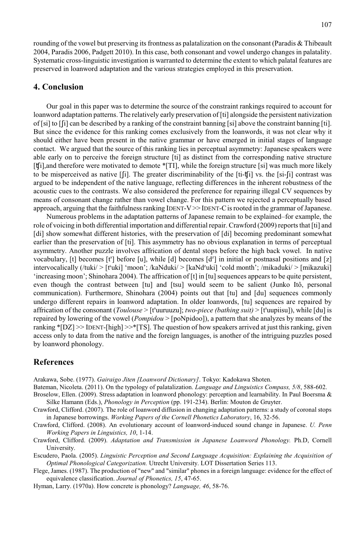rounding of the vowel but preserving its frontness as palatalization on the consonant (Paradis & Thibeault 2004, Paradis 2006, Padgett 2010). In this case, both consonant and vowel undergo changes in palatality. Systematic cross-linguistic investigation is warranted to determine the extent to which palatal features are preserved in loanword adaptation and the various strategies employed in this preservation.

#### **4. Conclusion**

Our goal in this paper was to determine the source of the constraint rankings required to account for loanword adaptation patterns. The relatively early preservation of [ti] alongside the persistent nativization of [si] to [i] can be described by a ranking of the constraint banning [si] above the constraint banning [ti]. But since the evidence for this ranking comes exclusively from the loanwords, it was not clear why it should either have been present in the native grammar or have emerged in initial stages of language contact. We argued that the source of this ranking lies in perceptual asymmetry: Japanese speakers were able early on to perceive the foreign structure [ti] as distinct from the corresponding native structure [t[i], and therefore were motivated to demote \*[TI], while the foreign structure [si] was much more likely to be misperceived as native  $[f_1]$ . The greater discriminability of the  $[t_i-t_j]$  vs. the  $[s_i-t_j]$  contrast was argued to be independent of the native language, reflecting differences in the inherent robustness of the acoustic cues to the contrasts. We also considered the preference for repairing illegal CV sequences by means of consonant change rather than vowel change. For this pattern we rejected a perceptually based approach, arguing that the faithfulness ranking IDENT-V $\gg$ IDENT-C is rooted in the grammar of Japanese.

Numerous problems in the adaptation patterns of Japanese remain to be explained–for example, the role of voicing in both differential importation and differential repair. Crawford (2009) reports that [ti] and [di] show somewhat different histories, with the preservation of [di] becoming predominant somewhat earlier than the preservation of [ti]. This asymmetry has no obvious explanation in terms of perceptual asymmetry. Another puzzle involves affrication of dental stops before the high back vowel. In native vocabulary, [t] becomes [t<sup>8</sup>] before [u], while [d] becomes [d<sup>2</sup>] in initial or postnasal positions and [z] intervocalically (/tuki/ > [t uki] 'moon'; /kaNduki/ > [kaNd uki] 'cold month'; /mikaduki/ > [mikazuki] 'increasing moon'; Shinohara 2004). The affrication of [t] in [tu] sequences appears to be quite persistent, even though the contrast between [tu] and [tsu] would seem to be salient (Junko Itô, personal communication). Furthermore, Shinohara (2004) points out that [tu] and [du] sequences commonly undergo different repairs in loanword adaptation. In older loanwords, [tu] sequences are repaired by affrication of the consonant (*Toulouse* > [t<sup>\*</sup>uuruuzu]; *two-piece (bathing suit)* > [t<sup>\*</sup>uupiisu]), while [du] is repaired by lowering of the vowel (*Pompidou* > [poNpidoo]), a pattern that she analyzes by means of the ranking  $\text{*}[DZ] \geq \text{IDENT}$ -[high]  $\geq \text{*}[TS]$ . The question of how speakers arrived at just this ranking, given access only to data from the native and the foreign languages, is another of the intriguing puzzles posed by loanword phonology.

#### **References**

Arakawa, Sobe. (1977). *Gairaigo Jiten [Loanword Dictionary]*. Tokyo: Kadokawa Shoten.

- Bateman, Nicoleta. (2011). On the typology of palatalization. *Language and Linguistics Compass, 5/8*, 588-602.
- Broselow, Ellen. (2009). Stress adaptation in loanword phonology: perception and learnability. In Paul Boersma & Silke Hamann (Eds.), *Phonology in Perception* (pp. 191-234). Berlin: Mouton de Gruyter.
- Crawford, Clifford. (2007). The role of loanword diffusion in changing adaptation patterns: a study of coronal stops in Japanese borrowings. *Working Papers of the Cornell Phonetics Laboratory*, 16, 32-56.
- Crawford, Clifford. (2008). An evolutionary account of loanword-induced sound change in Japanese. *U. Penn Working Papers in Linguistics, 10*, 1-14.
- Crawford, Clifford. (2009). *Adaptation and Transmission in Japanese Loanword Phonology.* Ph.D, Cornell University.
- Escudero, Paola. (2005). *Linguistic Perception and Second Language Acquisition: Explaining the Acquisition of Optimal Phonological Categorization.* Utrecht University. LOT Dissertation Series 113.
- Flege, James. (1987). The production of "new" and "similar" phones in a foreign language: evidence for the effect of equivalence classification. *Journal of Phonetics, 15*, 47-65.
- Hyman, Larry. (1970a). How concrete is phonology? *Language, 46*, 58-76.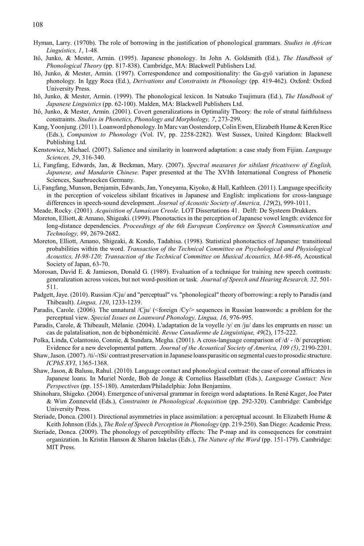- Hyman, Larry. (1970b). The role of borrowing in the justification of phonological grammars. *Studies in African Linguistics, 1*, 1-48.
- Itô, Junko, & Mester, Armin. (1995). Japanese phonology. In John A. Goldsmith (Ed.), *The Handbook of Phonological Theory* (pp. 817-838). Cambridge, MA: Blackwell Publishers Ltd.
- Itô, Junko, & Mester, Armin. (1997). Correspondence and compositionality: the Ga-gyô variation in Japanese phonology. In Iggy Roca (Ed.), *Derivations and Constraints in Phonology* (pp. 419-462). Oxford: Oxford University Press.
- Itô, Junko, & Mester, Armin. (1999). The phonological lexicon. In Natsuko Tsujimura (Ed.), *The Handbook of Japanese Linguistics* (pp. 62-100). Malden, MA: Blackwell Publishers Ltd.
- Itô, Junko, & Mester, Armin. (2001). Covert generalizations in Optimality Theory: the role of stratal faithfulness constraints. *Studies in Phonetics, Phonology and Morphology, 7*, 273-299.
- Kang, Yoonjung. (2011). Loanword phonology. In Marc van Oostendorp, Colin Ewen, Elizabeth Hume & Keren Rice (Eds.), *Companion to Phonology* (Vol. IV, pp. 2258-2282). West Sussex, United Kingdom: Blackwell Publishing Ltd.
- Kenstowicz, Michael. (2007). Salience and similarity in loanword adaptation: a case study from Fijian. *Language Sciences, 29*, 316-340.
- Li, Fangfang, Edwards, Jan, & Beckman, Mary. (2007). *Spectral measures for sibilant fricativesw of English, Japanese, and Mandarin Chinese.* Paper presented at the The XVIth International Congress of Phonetic Sciences, Saarbruecken Germany.
- Li, Fangfang, Munson, Benjamin, Edwards, Jan, Yoneyama, Kiyoko, & Hall, Kathleen. (2011). Language specificity in the perception of voiceless sibilant fricatives in Japanese and English: implications for cross-language differences in speech-sound development. *Journal of Acoustic Society of America, 129*(2), 999-1011.

Meade, Rocky. (2001). *Acquisition of Jamaican Creole*. LOT Dissertations 41. Delft: De Systeem Drukkers.

- Moreton, Elliott, & Amano, Shigeaki. (1999). Phonotactics in the perception of Japanese vowel length: evidence for long-distance dependencies. *Proceedings of the 6th European Conference on Speech Communication and Technology, 99*, 2679-2682.
- Moreton, Elliott, Amano, Shigeaki, & Kondo, Tadahisa. (1998). Statistical phonotactics of Japanese: transitional probabilities within the word. *Transaction of the Technical Committee on Psychological and Physiological Acoustics, H-98-120; Transaction of the Technical Committee on Musical Acoustics, MA-98-46*, Acoustical Society of Japan, 63-70.
- Morosan, David E. & Jamieson, Donald G. (1989). Evaluation of a technique for training new speech contrasts: generalization across voices, but not word-position or task*. Journal of Speech and Hearing Research, 32,* 501- 511.
- Padgett, Jaye. (2010). Russian /Cju/ and "perceptual" vs. "phonological" theory of borrowing: a reply to Paradis (and Thibeault). *Lingua, 120*, 1233-1239.
- Paradis, Carole. (2006). The unnatural /Cju/ (<foreign /Cy/> sequences in Russian loanwords: a problem for the perceptual view. *Special Issues on Loanword Phonology, Lingua, 16*, 976-995.
- Paradis, Carole, & Thibeault, Mélanie. (2004). L'adaptation de la voyelle /y/ en /ju/ dans les emprunts en russe: un cas de palatalisation, non de biphonémicité. *Revue Canadienne de Linguistique, 49*(2), 175-222.
- Polka, Linda, Colantonio, Connie, & Sundara, Megha. (2001). A cross-language comparison of /d/ /ð/ perception: Evidence for a new developmental pattern. *Journal of the Acoustical Society of America, 109 (5)*, 2190-2201.
- Shaw, Jason. (2007). /ti/-/tSi/ contrast preservation in Japanese loans parasitic on segmental cues to prosodic structure. *ICPhS XVI*, 1365-1368.
- Shaw, Jason, & Balusu, Rahul. (2010). Language contact and phonological contrast: the case of coronal affricates in Japanese loans. In Muriel Norde, Bob de Jonge & Cornelius Hasselblatt (Eds.), *Language Contact: New Perspectives* (pp. 155-180). Amsterdam/Philadelphia: John Benjamins.
- Shinohara, Shigeko. (2004). Emergence of universal grammar in foreign word adaptations. In René Kager, Joe Pater & Wim Zonneveld (Eds.), *Constraints in Phonological Acquisition* (pp. 292-320). Cambridge: Cambridge University Press.
- Steriade, Donca. (2001). Directional asymmetries in place assimilation: a perceptual account. In Elizabeth Hume & Keith Johnson (Eds.), *The Role of Speech Perception in Phonology* (pp. 219-250). San Diego: Academic Press.
- Steriade, Donca. (2009). The phonology of perceptibility effects: The P-map and its consequences for constraint organization. In Kristin Hanson & Sharon Inkelas (Eds.), *The Nature of the Word* (pp. 151-179). Cambridge: MIT Press.